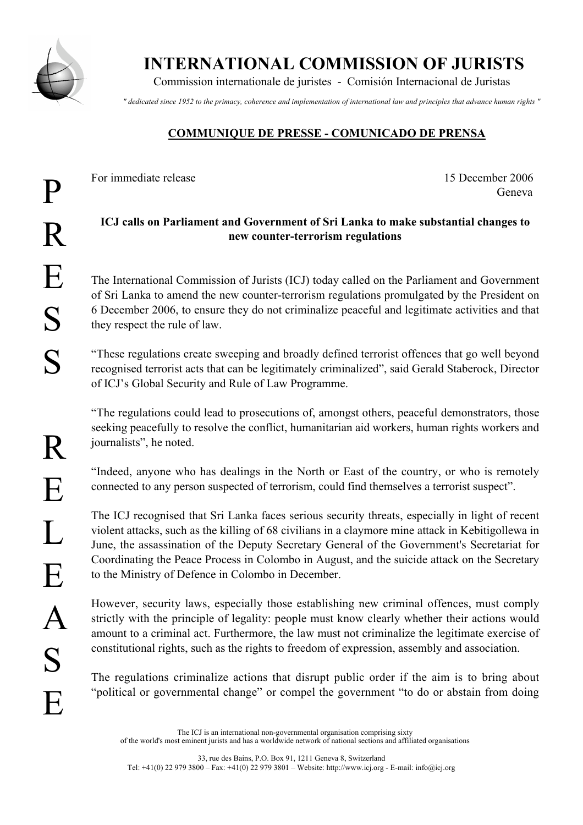

INTERNATIONAL COMMISSION OF JURISTS

Commission internationale de juristes - Comisión Internacional de Juristas

*" dedicated since 1952 to the primacy, coherence and implementation of international law and principles that advance human rights "*

## COMMUNIQUE DE PRESSE - COMUNICADO DE PRENSA

For immediate release 15 December 2006

Geneva

## ICJ calls on Parliament and Government of Sri Lanka to make substantial changes to new counter-terrorism regulations

The International Commission of Jurists (ICJ) today called on the Parliament and Government of Sri Lanka to amend the new counter-terrorism regulations promulgated by the President on 6 December 2006, to ensure they do not criminalize peaceful and legitimate activities and that they respect the rule of law.

"These regulations create sweeping and broadly defined terrorist offences that go well beyond recognised terrorist acts that can be legitimately criminalized", said Gerald Staberock, Director of ICJ's Global Security and Rule of Law Programme.

"The regulations could lead to prosecutions of, amongst others, peaceful demonstrators, those seeking peacefully to resolve the conflict, humanitarian aid workers, human rights workers and journalists", he noted.

"Indeed, anyone who has dealings in the North or East of the country, or who is remotely connected to any person suspected of terrorism, could find themselves a terrorist suspect".

The ICJ recognised that Sri Lanka faces serious security threats, especially in light of recent violent attacks, such as the killing of 68 civilians in a claymore mine attack in Kebitigollewa in June, the assassination of the Deputy Secretary General of the Government's Secretariat for Coordinating the Peace Process in Colombo in August, and the suicide attack on the Secretary to the Ministry of Defence in Colombo in December.

However, security laws, especially those establishing new criminal offences, must comply strictly with the principle of legality: people must know clearly whether their actions would amount to a criminal act. Furthermore, the law must not criminalize the legitimate exercise of constitutional rights, such as the rights to freedom of expression, assembly and association.

The regulations criminalize actions that disrupt public order if the aim is to bring about "political or governmental change" or compel the government "to do or abstain from doing

The ICJ is an international non-governmental organisation comprising sixty of the world's most eminent jurists and has a worldwide network of national sections and affiliated organisations

33, rue des Bains, P.O. Box 91, 1211 Geneva 8, Switzerland Tel: +41(0) 22 979 3800 – Fax: +41(0) 22 979 3801 – Website: http://www.icj.org - E-mail: info@icj.org

R

E

 $\mathbf{L}$ 

E

 $\bm{\mathsf{A}}$ 

S

E